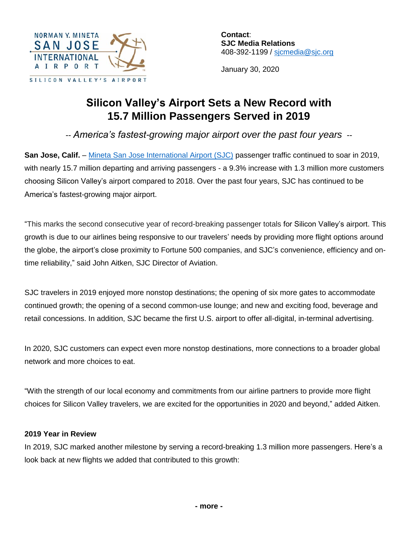

**Contact**: **SJC Media Relations** 408-392-1199 / sicmedia@sjc.org

January 30, 2020

# **Silicon Valley's Airport Sets a New Record with 15.7 Million Passengers Served in 2019**

*-- America's fastest-growing major airport over the past four years --*

**San Jose, Calif.** – [Mineta San Jose International Airport \(SJC\)](https://www.flysanjose.com/) passenger traffic continued to soar in 2019, with nearly 15.7 million departing and arriving passengers - a 9.3% increase with 1.3 million more customers choosing Silicon Valley's airport compared to 2018. Over the past four years, SJC has continued to be America's fastest-growing major airport.

"This marks the second consecutive year of record-breaking passenger totals for Silicon Valley's airport. This growth is due to our airlines being responsive to our travelers' needs by providing more flight options around the globe, the airport's close proximity to Fortune 500 companies, and SJC's convenience, efficiency and ontime reliability," said John Aitken, SJC Director of Aviation.

SJC travelers in 2019 enjoyed more nonstop destinations; the opening of six more gates to accommodate continued growth; the opening of a second common-use lounge; and new and exciting food, beverage and retail concessions. In addition, SJC became the first U.S. airport to offer all-digital, in-terminal advertising.

In 2020, SJC customers can expect even more nonstop destinations, more connections to a broader global network and more choices to eat.

"With the strength of our local economy and commitments from our airline partners to provide more flight choices for Silicon Valley travelers, we are excited for the opportunities in 2020 and beyond," added Aitken.

## **2019 Year in Review**

In 2019, SJC marked another milestone by serving a record-breaking 1.3 million more passengers. Here's a look back at new flights we added that contributed to this growth: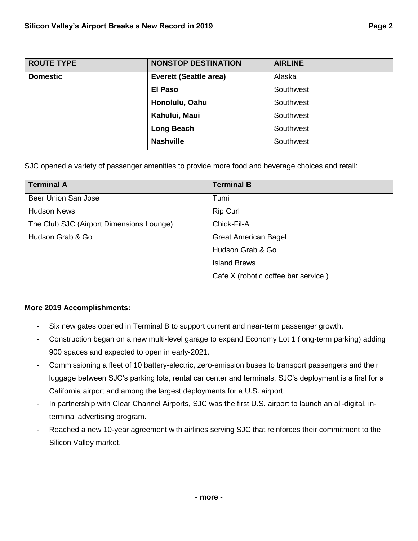| <b>ROUTE TYPE</b> | <b>NONSTOP DESTINATION</b>    | <b>AIRLINE</b> |
|-------------------|-------------------------------|----------------|
| <b>Domestic</b>   | <b>Everett (Seattle area)</b> | Alaska         |
|                   | <b>El Paso</b>                | Southwest      |
|                   | Honolulu, Oahu                | Southwest      |
|                   | Kahului, Maui                 | Southwest      |
|                   | <b>Long Beach</b>             | Southwest      |
|                   | <b>Nashville</b>              | Southwest      |

SJC opened a variety of passenger amenities to provide more food and beverage choices and retail:

| <b>Terminal A</b>                        | <b>Terminal B</b>                   |
|------------------------------------------|-------------------------------------|
| Beer Union San Jose                      | Tumi                                |
| <b>Hudson News</b>                       | <b>Rip Curl</b>                     |
| The Club SJC (Airport Dimensions Lounge) | Chick-Fil-A                         |
| Hudson Grab & Go                         | <b>Great American Bagel</b>         |
|                                          | Hudson Grab & Go                    |
|                                          | <b>Island Brews</b>                 |
|                                          | Cafe X (robotic coffee bar service) |

### **More 2019 Accomplishments:**

- Six new gates opened in Terminal B to support current and near-term passenger growth.
- Construction began on a new multi-level garage to expand Economy Lot 1 (long-term parking) adding 900 spaces and expected to open in early-2021.
- Commissioning a fleet of 10 battery-electric, zero-emission buses to transport passengers and their luggage between SJC's parking lots, rental car center and terminals. SJC's deployment is a first for a California airport and among the largest deployments for a U.S. airport.
- In partnership with Clear Channel Airports, SJC was the first U.S. airport to launch an all-digital, interminal advertising program.
- Reached a new 10-year agreement with airlines serving SJC that reinforces their commitment to the Silicon Valley market.